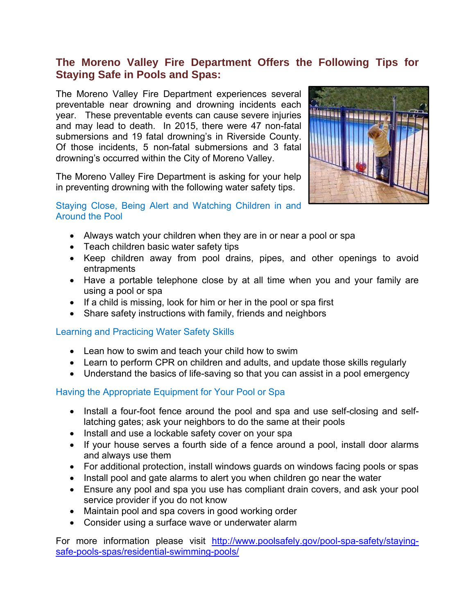# **The Moreno Valley Fire Department Offers the Following Tips for Staying Safe in Pools and Spas:**

The Moreno Valley Fire Department experiences several preventable near drowning and drowning incidents each year. These preventable events can cause severe injuries and may lead to death. In 2015, there were 47 non-fatal submersions and 19 fatal drowning's in Riverside County. Of those incidents, 5 non-fatal submersions and 3 fatal drowning's occurred within the City of Moreno Valley.

The Moreno Valley Fire Department is asking for your help in preventing drowning with the following water safety tips.

#### Staying Close, Being Alert and Watching Children in and Around the Pool

- Always watch your children when they are in or near a pool or spa
- Teach children basic water safety tips
- Keep children away from pool drains, pipes, and other openings to avoid entrapments
- Have a portable telephone close by at all time when you and your family are using a pool or spa
- $\bullet$  If a child is missing, look for him or her in the pool or spa first
- Share safety instructions with family, friends and neighbors

## Learning and Practicing Water Safety Skills

- Lean how to swim and teach your child how to swim
- Learn to perform CPR on children and adults, and update those skills regularly
- Understand the basics of life-saving so that you can assist in a pool emergency

## Having the Appropriate Equipment for Your Pool or Spa

- Install a four-foot fence around the pool and spa and use self-closing and selflatching gates; ask your neighbors to do the same at their pools
- Install and use a lockable safety cover on your spa
- If your house serves a fourth side of a fence around a pool, install door alarms and always use them
- For additional protection, install windows guards on windows facing pools or spas
- Install pool and gate alarms to alert you when children go near the water
- Ensure any pool and spa you use has compliant drain covers, and ask your pool service provider if you do not know
- Maintain pool and spa covers in good working order
- Consider using a surface wave or underwater alarm

For more information please visit [http://www.poolsafely.gov/pool-spa-safety/staying](http://www.poolsafely.gov/pool-spa-safety/staying-safe-pools-spas/residential-swimming-pools/)[safe-pools-spas/residential-swimming-pools/](http://www.poolsafely.gov/pool-spa-safety/staying-safe-pools-spas/residential-swimming-pools/)

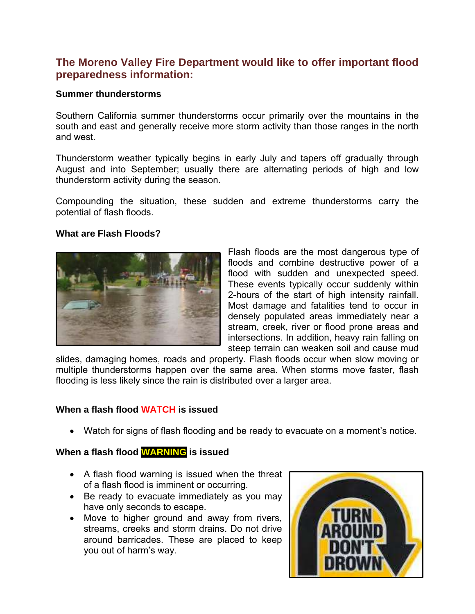# **The Moreno Valley Fire Department would like to offer important flood preparedness information:**

#### **Summer thunderstorms**

Southern California summer thunderstorms occur primarily over the mountains in the south and east and generally receive more storm activity than those ranges in the north and west.

Thunderstorm weather typically begins in early July and tapers off gradually through August and into September; usually there are alternating periods of high and low thunderstorm activity during the season.

Compounding the situation, these sudden and extreme thunderstorms carry the potential of flash floods.

#### **What are Flash Floods?**



Flash floods are the most dangerous type of floods and combine destructive power of a flood with sudden and unexpected speed. These events typically occur suddenly within 2-hours of the start of high intensity rainfall. Most damage and fatalities tend to occur in densely populated areas immediately near a stream, creek, river or flood prone areas and intersections. In addition, heavy rain falling on steep terrain can weaken soil and cause mud

slides, damaging homes, roads and property. Flash floods occur when slow moving or multiple thunderstorms happen over the same area. When storms move faster, flash flooding is less likely since the rain is distributed over a larger area.

#### **When a flash flood WATCH is issued**

Watch for signs of flash flooding and be ready to evacuate on a moment's notice.

#### **When a flash flood WARNING is issued**

- A flash flood warning is issued when the threat of a flash flood is imminent or occurring.
- Be ready to evacuate immediately as you may have only seconds to escape.
- Move to higher ground and away from rivers, streams, creeks and storm drains. Do not drive around barricades. These are placed to keep you out of harm's way.

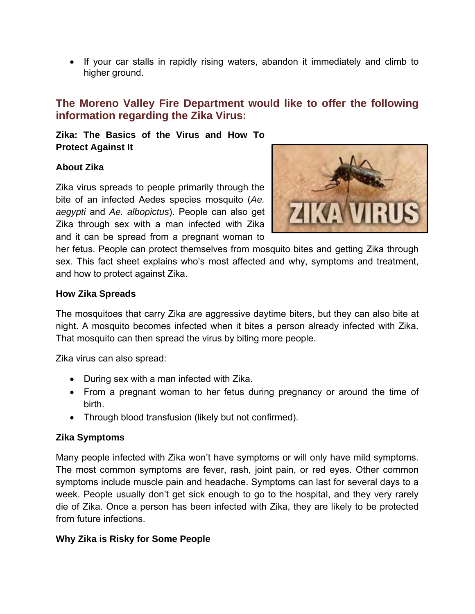If your car stalls in rapidly rising waters, abandon it immediately and climb to higher ground.

# **The Moreno Valley Fire Department would like to offer the following information regarding the Zika Virus:**

**Zika: The Basics of the Virus and How To Protect Against It**

#### **About Zika**

Zika virus spreads to people primarily through the bite of an infected Aedes species mosquito (*Ae. aegypti* and *Ae. albopictus*). People can also get Zika through sex with a man infected with Zika and it can be spread from a pregnant woman to



her fetus. People can protect themselves from mosquito bites and getting Zika through sex. This fact sheet explains who's most affected and why, symptoms and treatment, and how to protect against Zika.

#### **How Zika Spreads**

The mosquitoes that carry Zika are aggressive daytime biters, but they can also bite at night. A mosquito becomes infected when it bites a person already infected with Zika. That mosquito can then spread the virus by biting more people.

Zika virus can also spread:

- During sex with a man infected with Zika.
- From a pregnant woman to her fetus during pregnancy or around the time of birth.
- Through blood transfusion (likely but not confirmed).

## **Zika Symptoms**

Many people infected with Zika won't have symptoms or will only have mild symptoms. The most common symptoms are fever, rash, joint pain, or red eyes. Other common symptoms include muscle pain and headache. Symptoms can last for several days to a week. People usually don't get sick enough to go to the hospital, and they very rarely die of Zika. Once a person has been infected with Zika, they are likely to be protected from future infections.

## **Why Zika is Risky for Some People**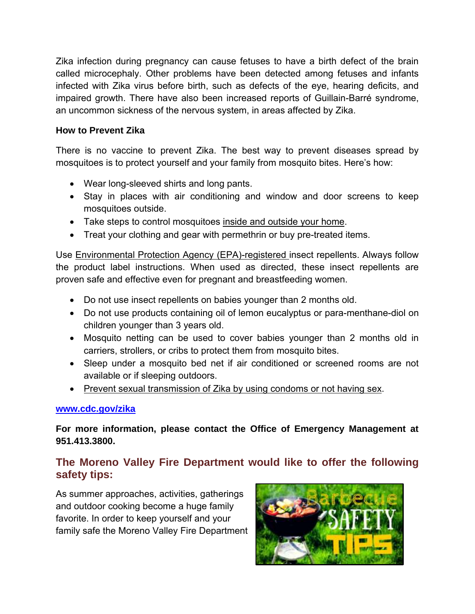Zika infection during pregnancy can cause fetuses to have a birth defect of the brain called microcephaly. Other problems have been detected among fetuses and infants infected with Zika virus before birth, such as defects of the eye, hearing deficits, and impaired growth. There have also been increased reports of Guillain-Barré syndrome, an uncommon sickness of the nervous system, in areas affected by Zika.

## **How to Prevent Zika**

There is no vaccine to prevent Zika. The best way to prevent diseases spread by mosquitoes is to protect yourself and your family from mosquito bites. Here's how:

- Wear long-sleeved shirts and long pants.
- Stay in places with air conditioning and window and door screens to keep mosquitoes outside.
- Take steps to control mosquitoes inside and outside your home.
- Treat your clothing and gear with permethrin or buy pre-treated items.

Use Environmental Protection Agency (EPA)-registered insect repellents. Always follow the product label instructions. When used as directed, these insect repellents are proven safe and effective even for pregnant and breastfeeding women.

- Do not use insect repellents on babies younger than 2 months old.
- Do not use products containing oil of lemon eucalyptus or para-menthane-diol on children younger than 3 years old.
- Mosquito netting can be used to cover babies younger than 2 months old in carriers, strollers, or cribs to protect them from mosquito bites.
- Sleep under a mosquito bed net if air conditioned or screened rooms are not available or if sleeping outdoors.
- Prevent sexual transmission of Zika by using condoms or not having sex.

## **[www.cdc.gov/zika](http://www.cdc.gov/zika)**

**For more information, please contact the Office of Emergency Management at 951.413.3800.**

# **The Moreno Valley Fire Department would like to offer the following safety tips:**

As summer approaches, activities, gatherings and outdoor cooking become a huge family favorite. In order to keep yourself and your family safe the Moreno Valley Fire Department